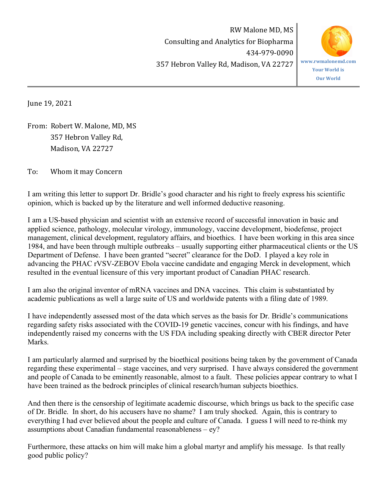RW Malone MD, MS Consulting and Analytics for Biopharma 434-979-0090 357 Hebron Valley Rd, Madison, VA 22727



June 19, 2021

From: Robert W. Malone, MD, MS 357 Hebron Valley Rd, Madison, VA 22727

To: Whom it may Concern

I am writing this letter to support Dr. Bridle's good character and his right to freely express his scientific opinion, which is backed up by the literature and well informed deductive reasoning.

I am a US-based physician and scientist with an extensive record of successful innovation in basic and applied science, pathology, molecular virology, immunology, vaccine development, biodefense, project management, clinical development, regulatory affairs, and bioethics. I have been working in this area since 1984, and have been through multiple outbreaks – usually supporting either pharmaceutical clients or the US Department of Defense. I have been granted "secret" clearance for the DoD. I played a key role in advancing the PHAC rVSV-ZEBOV Ebola vaccine candidate and engaging Merck in development, which resulted in the eventual licensure of this very important product of Canadian PHAC research.

I am also the original inventor of mRNA vaccines and DNA vaccines. This claim is substantiated by academic publications as well a large suite of US and worldwide patents with a filing date of 1989.

I have independently assessed most of the data which serves as the basis for Dr. Bridle's communications regarding safety risks associated with the COVID-19 genetic vaccines, concur with his findings, and have independently raised my concerns with the US FDA including speaking directly with CBER director Peter **Marks** 

I am particularly alarmed and surprised by the bioethical positions being taken by the government of Canada regarding these experimental – stage vaccines, and very surprised. I have always considered the government and people of Canada to be eminently reasonable, almost to a fault. These policies appear contrary to what I have been trained as the bedrock principles of clinical research/human subjects bioethics.

And then there is the censorship of legitimate academic discourse, which brings us back to the specific case of Dr. Bridle. In short, do his accusers have no shame? I am truly shocked. Again, this is contrary to everything I had ever believed about the people and culture of Canada. I guess I will need to re-think my assumptions about Canadian fundamental reasonableness – ey?

Furthermore, these attacks on him will make him a global martyr and amplify his message. Is that really good public policy?